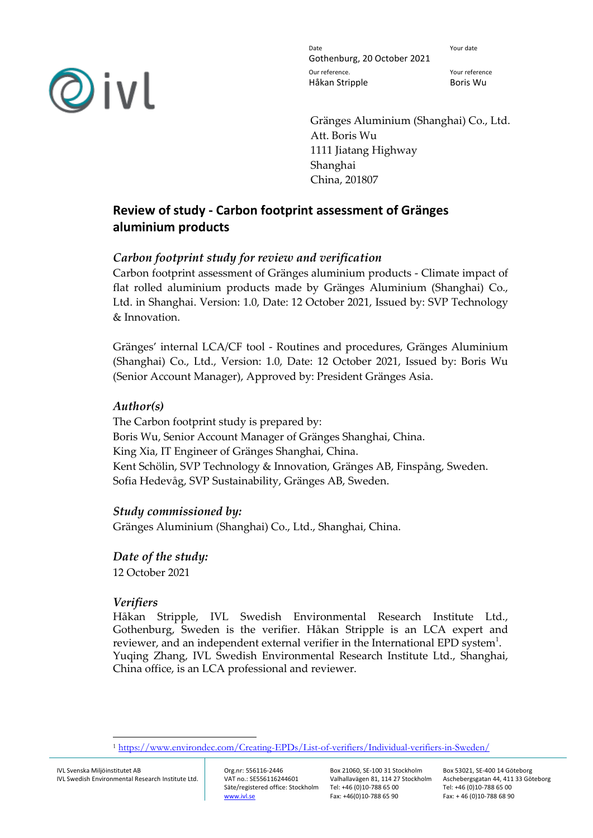

Date **Date** Your date Gothenburg, 20 October 2021 Our reference. Your reference Håkan Stripple Boris Wu

Gränges Aluminium (Shanghai) Co., Ltd. Att. Boris Wu 1111 Jiatang Highway Shanghai China, 201807

# **Review of study - Carbon footprint assessment of Gränges aluminium products**

## *Carbon footprint study for review and verification*

Carbon footprint assessment of Gränges aluminium products - Climate impact of flat rolled aluminium products made by Gränges Aluminium (Shanghai) Co., Ltd. in Shanghai. Version: 1.0, Date: 12 October 2021, Issued by: SVP Technology & Innovation.

Gränges' internal LCA/CF tool - Routines and procedures, Gränges Aluminium (Shanghai) Co., Ltd., Version: 1.0, Date: 12 October 2021, Issued by: Boris Wu (Senior Account Manager), Approved by: President Gränges Asia.

### *Author(s)*

The Carbon footprint study is prepared by: Boris Wu, Senior Account Manager of Gränges Shanghai, China. King Xia, IT Engineer of Gränges Shanghai, China. Kent Schölin, SVP Technology & Innovation, Gränges AB, Finspång, Sweden. Sofia Hedevåg, SVP Sustainability, Gränges AB, Sweden.

### *Study commissioned by:*

Gränges Aluminium (Shanghai) Co., Ltd., Shanghai, China.

*Date of the study:* 12 October 2021

# *Verifiers*

Håkan Stripple, IVL Swedish Environmental Research Institute Ltd., Gothenburg, Sweden is the verifier. Håkan Stripple is an LCA expert and reviewer, and an independent external verifier in the International EPD system $^{\rm 1}.$ Yuqing Zhang, IVL Swedish Environmental Research Institute Ltd., Shanghai, China office, is an LCA professional and reviewer.

<sup>1</sup> <https://www.environdec.com/Creating-EPDs/List-of-verifiers/Individual-verifiers-in-Sweden/>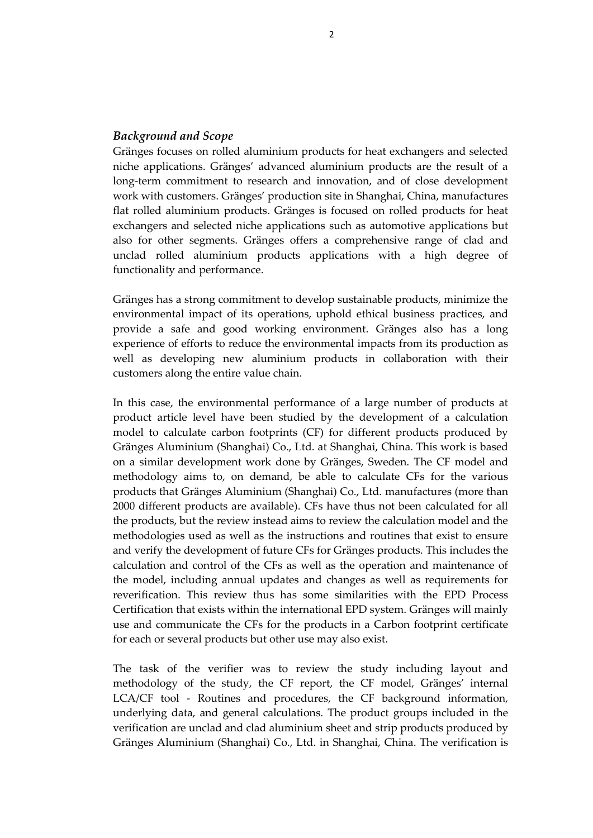### *Background and Scope*

Gränges focuses on rolled aluminium products for heat exchangers and selected niche applications. Gränges' advanced aluminium products are the result of a long-term commitment to research and innovation, and of close development work with customers. Gränges' production site in Shanghai, China, manufactures flat rolled aluminium products. Gränges is focused on rolled products for heat exchangers and selected niche applications such as automotive applications but also for other segments. Gränges offers a comprehensive range of clad and unclad rolled aluminium products applications with a high degree of functionality and performance.

Gränges has a strong commitment to develop sustainable products, minimize the environmental impact of its operations, uphold ethical business practices, and provide a safe and good working environment. Gränges also has a long experience of efforts to reduce the environmental impacts from its production as well as developing new aluminium products in collaboration with their customers along the entire value chain.

In this case, the environmental performance of a large number of products at product article level have been studied by the development of a calculation model to calculate carbon footprints (CF) for different products produced by Gränges Aluminium (Shanghai) Co., Ltd. at Shanghai, China. This work is based on a similar development work done by Gränges, Sweden. The CF model and methodology aims to, on demand, be able to calculate CFs for the various products that Gränges Aluminium (Shanghai) Co., Ltd. manufactures (more than 2000 different products are available). CFs have thus not been calculated for all the products, but the review instead aims to review the calculation model and the methodologies used as well as the instructions and routines that exist to ensure and verify the development of future CFs for Gränges products. This includes the calculation and control of the CFs as well as the operation and maintenance of the model, including annual updates and changes as well as requirements for reverification. This review thus has some similarities with the EPD Process Certification that exists within the international EPD system. Gränges will mainly use and communicate the CFs for the products in a Carbon footprint certificate for each or several products but other use may also exist.

The task of the verifier was to review the study including layout and methodology of the study, the CF report, the CF model, Gränges' internal LCA/CF tool - Routines and procedures, the CF background information, underlying data, and general calculations. The product groups included in the verification are unclad and clad aluminium sheet and strip products produced by Gränges Aluminium (Shanghai) Co., Ltd. in Shanghai, China. The verification is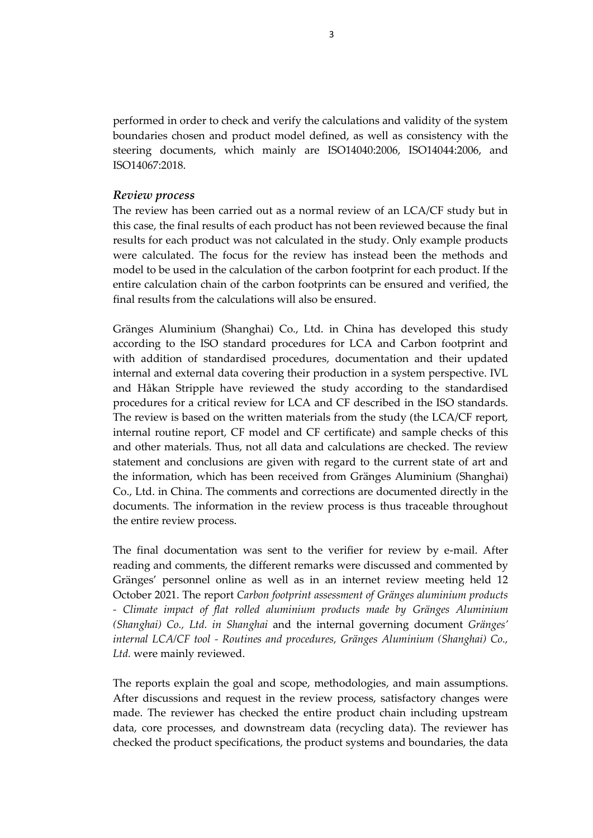performed in order to check and verify the calculations and validity of the system boundaries chosen and product model defined, as well as consistency with the steering documents, which mainly are ISO14040:2006, ISO14044:2006, and ISO14067:2018.

#### *Review process*

The review has been carried out as a normal review of an LCA/CF study but in this case, the final results of each product has not been reviewed because the final results for each product was not calculated in the study. Only example products were calculated. The focus for the review has instead been the methods and model to be used in the calculation of the carbon footprint for each product. If the entire calculation chain of the carbon footprints can be ensured and verified, the final results from the calculations will also be ensured.

Gränges Aluminium (Shanghai) Co., Ltd. in China has developed this study according to the ISO standard procedures for LCA and Carbon footprint and with addition of standardised procedures, documentation and their updated internal and external data covering their production in a system perspective. IVL and Håkan Stripple have reviewed the study according to the standardised procedures for a critical review for LCA and CF described in the ISO standards. The review is based on the written materials from the study (the LCA/CF report, internal routine report, CF model and CF certificate) and sample checks of this and other materials. Thus, not all data and calculations are checked. The review statement and conclusions are given with regard to the current state of art and the information, which has been received from Gränges Aluminium (Shanghai) Co., Ltd. in China. The comments and corrections are documented directly in the documents. The information in the review process is thus traceable throughout the entire review process.

The final documentation was sent to the verifier for review by e-mail. After reading and comments, the different remarks were discussed and commented by Gränges' personnel online as well as in an internet review meeting held 12 October 2021. The report *Carbon footprint assessment of Gränges aluminium products - Climate impact of flat rolled aluminium products made by Gränges Aluminium (Shanghai) Co., Ltd. in Shanghai* and the internal governing document *Gränges' internal LCA/CF tool - Routines and procedures, Gränges Aluminium (Shanghai) Co., Ltd.* were mainly reviewed.

The reports explain the goal and scope, methodologies, and main assumptions. After discussions and request in the review process, satisfactory changes were made. The reviewer has checked the entire product chain including upstream data, core processes, and downstream data (recycling data). The reviewer has checked the product specifications, the product systems and boundaries, the data